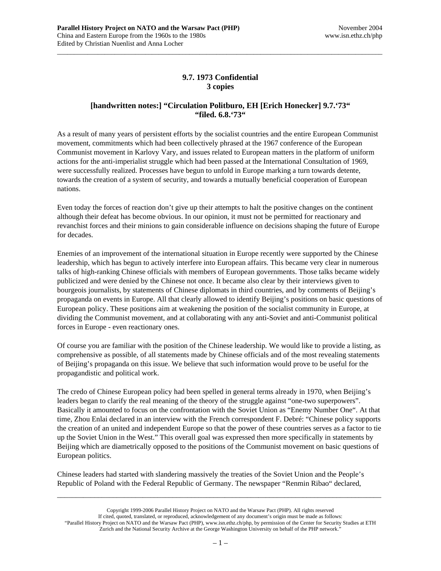## **9.7. 1973 Confidential 3 copies**

\_\_\_\_\_\_\_\_\_\_\_\_\_\_\_\_\_\_\_\_\_\_\_\_\_\_\_\_\_\_\_\_\_\_\_\_\_\_\_\_\_\_\_\_\_\_\_\_\_\_\_\_\_\_\_\_\_\_\_\_\_\_\_\_\_\_\_\_\_\_\_\_\_\_\_\_\_\_\_\_\_\_\_\_\_\_\_\_\_\_\_\_\_\_\_\_

## **[handwritten notes:] "Circulation Politburo, EH [Erich Honecker] 9.7.'73" "filed. 6.8.'73"**

As a result of many years of persistent efforts by the socialist countries and the entire European Communist movement, commitments which had been collectively phrased at the 1967 conference of the European Communist movement in Karlovy Vary, and issues related to European matters in the platform of uniform actions for the anti-imperialist struggle which had been passed at the International Consultation of 1969, were successfully realized. Processes have begun to unfold in Europe marking a turn towards detente, towards the creation of a system of security, and towards a mutually beneficial cooperation of European nations.

Even today the forces of reaction don't give up their attempts to halt the positive changes on the continent although their defeat has become obvious. In our opinion, it must not be permitted for reactionary and revanchist forces and their minions to gain considerable influence on decisions shaping the future of Europe for decades.

Enemies of an improvement of the international situation in Europe recently were supported by the Chinese leadership, which has begun to actively interfere into European affairs. This became very clear in numerous talks of high-ranking Chinese officials with members of European governments. Those talks became widely publicized and were denied by the Chinese not once. It became also clear by their interviews given to bourgeois journalists, by statements of Chinese diplomats in third countries, and by comments of Beijing's propaganda on events in Europe. All that clearly allowed to identify Beijing's positions on basic questions of European policy. These positions aim at weakening the position of the socialist community in Europe, at dividing the Communist movement, and at collaborating with any anti-Soviet and anti-Communist political forces in Europe - even reactionary ones.

Of course you are familiar with the position of the Chinese leadership. We would like to provide a listing, as comprehensive as possible, of all statements made by Chinese officials and of the most revealing statements of Beijing's propaganda on this issue. We believe that such information would prove to be useful for the propagandistic and political work.

The credo of Chinese European policy had been spelled in general terms already in 1970, when Beijing's leaders began to clarify the real meaning of the theory of the struggle against "one-two superpowers". Basically it amounted to focus on the confrontation with the Soviet Union as "Enemy Number One". At that time, Zhou Enlai declared in an interview with the French correspondent F. Debré: "Chinese policy supports the creation of an united and independent Europe so that the power of these countries serves as a factor to tie up the Soviet Union in the West." This overall goal was expressed then more specifically in statements by Beijing which are diametrically opposed to the positions of the Communist movement on basic questions of European politics.

Chinese leaders had started with slandering massively the treaties of the Soviet Union and the People's Republic of Poland with the Federal Republic of Germany. The newspaper "Renmin Ribao" declared,

Copyright 1999-2006 Parallel History Project on NATO and the Warsaw Pact (PHP). All rights reserved If cited, quoted, translated, or reproduced, acknowledgement of any document's origin must be made as follows: "Parallel History Project on NATO and the Warsaw Pact (PHP), www.isn.ethz.ch/php, by permission of the Center for Security Studies at ETH Zurich and the National Security Archive at the George Washington University on behalf of the PHP network."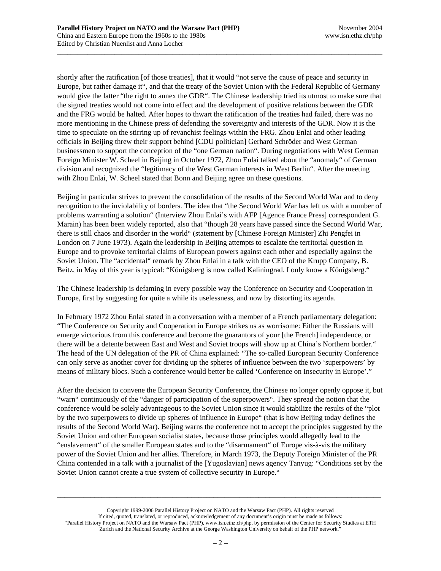shortly after the ratification [of those treaties], that it would "not serve the cause of peace and security in Europe, but rather damage it", and that the treaty of the Soviet Union with the Federal Republic of Germany would give the latter "the right to annex the GDR". The Chinese leadership tried its utmost to make sure that the signed treaties would not come into effect and the development of positive relations between the GDR and the FRG would be halted. After hopes to thwart the ratification of the treaties had failed, there was no more mentioning in the Chinese press of defending the sovereignty and interests of the GDR. Now it is the time to speculate on the stirring up of revanchist feelings within the FRG. Zhou Enlai and other leading officials in Beijing threw their support behind [CDU politician] Gerhard Schröder and West German businessmen to support the conception of the "one German nation". During negotiations with West German Foreign Minister W. Scheel in Beijing in October 1972, Zhou Enlai talked about the "anomaly" of German division and recognized the "legitimacy of the West German interests in West Berlin". After the meeting with Zhou Enlai, W. Scheel stated that Bonn and Beijing agree on these questions.

\_\_\_\_\_\_\_\_\_\_\_\_\_\_\_\_\_\_\_\_\_\_\_\_\_\_\_\_\_\_\_\_\_\_\_\_\_\_\_\_\_\_\_\_\_\_\_\_\_\_\_\_\_\_\_\_\_\_\_\_\_\_\_\_\_\_\_\_\_\_\_\_\_\_\_\_\_\_\_\_\_\_\_\_\_\_\_\_\_\_\_\_\_\_\_\_

Beijing in particular strives to prevent the consolidation of the results of the Second World War and to deny recognition to the inviolability of borders. The idea that "the Second World War has left us with a number of problems warranting a solution" (Interview Zhou Enlai's with AFP [Agence France Press] correspondent G. Marain) has been been widely reported, also that "though 28 years have passed since the Second World War, there is still chaos and disorder in the world" (statement by [Chinese Foreign Minister] Zhi Pengfei in London on 7 June 1973). Again the leadership in Beijing attempts to escalate the territorial question in Europe and to provoke territorial claims of European powers against each other and especially against the Soviet Union. The "accidental" remark by Zhou Enlai in a talk with the CEO of the Krupp Company, B. Beitz, in May of this year is typical: "Königsberg is now called Kaliningrad. I only know a Königsberg."

The Chinese leadership is defaming in every possible way the Conference on Security and Cooperation in Europe, first by suggesting for quite a while its uselessness, and now by distorting its agenda.

In February 1972 Zhou Enlai stated in a conversation with a member of a French parliamentary delegation: "The Conference on Security and Cooperation in Europe strikes us as worrisome: Either the Russians will emerge victorious from this conference and become the guarantors of your [the French] independence, or there will be a detente between East and West and Soviet troops will show up at China's Northern border." The head of the UN delegation of the PR of China explained: "The so-called European Security Conference can only serve as another cover for dividing up the spheres of influence between the two 'superpowers' by means of military blocs. Such a conference would better be called 'Conference on Insecurity in Europe'."

After the decision to convene the European Security Conference, the Chinese no longer openly oppose it, but "warn" continuously of the "danger of participation of the superpowers". They spread the notion that the conference would be solely advantageous to the Soviet Union since it would stabilize the results of the "plot by the two superpowers to divide up spheres of influence in Europe" (that is how Beijing today defines the results of the Second World War). Beijing warns the conference not to accept the principles suggested by the Soviet Union and other European socialist states, because those principles would allegedly lead to the "enslavement" of the smaller European states and to the "disarmament" of Europe vis-à-vis the military power of the Soviet Union and her allies. Therefore, in March 1973, the Deputy Foreign Minister of the PR China contended in a talk with a journalist of the [Yugoslavian] news agency Tanyug: "Conditions set by the Soviet Union cannot create a true system of collective security in Europe."

Copyright 1999-2006 Parallel History Project on NATO and the Warsaw Pact (PHP). All rights reserved If cited, quoted, translated, or reproduced, acknowledgement of any document's origin must be made as follows: "Parallel History Project on NATO and the Warsaw Pact (PHP), www.isn.ethz.ch/php, by permission of the Center for Security Studies at ETH Zurich and the National Security Archive at the George Washington University on behalf of the PHP network."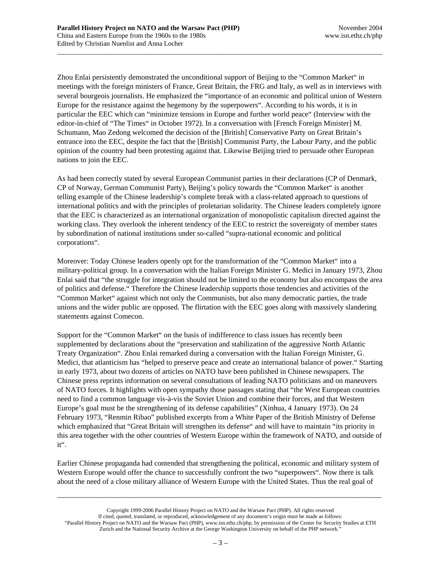Zhou Enlai persistently demonstrated the unconditional support of Beijing to the "Common Market" in meetings with the foreign ministers of France, Great Britain, the FRG and Italy, as well as in interviews with several bourgeois journalists. He emphasized the "importance of an economic and political union of Western Europe for the resistance against the hegemony by the superpowers". According to his words, it is in particular the EEC which can "minimize tensions in Europe and further world peace" (Interview with the editor-in-chief of "The Times" in October 1972). In a conversation with [French Foreign Minister] M. Schumann, Mao Zedong welcomed the decision of the [British] Conservative Party on Great Britain's entrance into the EEC, despite the fact that the [British] Communist Party, the Labour Party, and the public opinion of the country had been protesting against that. Likewise Beijing tried to persuade other European nations to join the EEC.

\_\_\_\_\_\_\_\_\_\_\_\_\_\_\_\_\_\_\_\_\_\_\_\_\_\_\_\_\_\_\_\_\_\_\_\_\_\_\_\_\_\_\_\_\_\_\_\_\_\_\_\_\_\_\_\_\_\_\_\_\_\_\_\_\_\_\_\_\_\_\_\_\_\_\_\_\_\_\_\_\_\_\_\_\_\_\_\_\_\_\_\_\_\_\_\_

As had been correctly stated by several European Communist parties in their declarations (CP of Denmark, CP of Norway, German Communist Party), Beijing's policy towards the "Common Market" is another telling example of the Chinese leadership's complete break with a class-related approach to questions of international politics and with the principles of proletarian solidarity. The Chinese leaders completely ignore that the EEC is characterized as an international organization of monopolistic capitalism directed against the working class. They overlook the inherent tendency of the EEC to restrict the sovereignty of member states by subordination of national institutions under so-called "supra-national economic and political corporations".

Moreover: Today Chinese leaders openly opt for the transformation of the "Common Market" into a military-political group. In a conversation with the Italian Foreign Minister G. Medici in January 1973, Zhou Enlai said that "the struggle for integration should not be limited to the economy but also encompass the area of politics and defense." Therefore the Chinese leadership supports those tendencies and activities of the "Common Market" against which not only the Communists, but also many democratic parties, the trade unions and the wider public are opposed. The flirtation with the EEC goes along with massively slandering statements against Comecon.

Support for the "Common Market" on the basis of indifference to class issues has recently been supplemented by declarations about the "preservation and stabilization of the aggressive North Atlantic Treaty Organization". Zhou Enlai remarked during a conversation with the Italian Foreign Minister, G. Medici, that atlanticism has "helped to preserve peace and create an international balance of power." Starting in early 1973, about two dozens of articles on NATO have been published in Chinese newspapers. The Chinese press reprints information on several consultations of leading NATO politicians and on maneuvers of NATO forces. It highlights with open sympathy those passages stating that "the West European countries need to find a common language vis-à-vis the Soviet Union and combine their forces, and that Western Europe's goal must be the strengthening of its defense capabilities" (Xinhua, 4 January 1973). On 24 February 1973, "Renmin Ribao" published excerpts from a White Paper of the British Ministry of Defense which emphasized that "Great Britain will strengthen its defense" and will have to maintain "its priority in this area together with the other countries of Western Europe within the framework of NATO, and outside of it".

Earlier Chinese propaganda had contended that strengthening the political, economic and military system of Western Europe would offer the chance to successfully confront the two "superpowers". Now there is talk about the need of a close military alliance of Western Europe with the United States. Thus the real goal of

Copyright 1999-2006 Parallel History Project on NATO and the Warsaw Pact (PHP). All rights reserved If cited, quoted, translated, or reproduced, acknowledgement of any document's origin must be made as follows: "Parallel History Project on NATO and the Warsaw Pact (PHP), www.isn.ethz.ch/php, by permission of the Center for Security Studies at ETH Zurich and the National Security Archive at the George Washington University on behalf of the PHP network."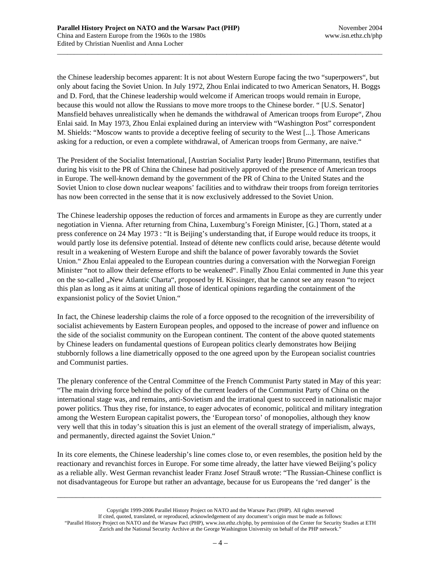the Chinese leadership becomes apparent: It is not about Western Europe facing the two "superpowers", but only about facing the Soviet Union. In July 1972, Zhou Enlai indicated to two American Senators, H. Boggs and D. Ford, that the Chinese leadership would welcome if American troops would remain in Europe, because this would not allow the Russians to move more troops to the Chinese border. " [U.S. Senator] Mansfield behaves unrealistically when he demands the withdrawal of American troops from Europe", Zhou Enlai said. In May 1973, Zhou Enlai explained during an interview with "Washington Post" correspondent M. Shields: "Moscow wants to provide a deceptive feeling of security to the West [...]. Those Americans asking for a reduction, or even a complete withdrawal, of American troops from Germany, are naive."

\_\_\_\_\_\_\_\_\_\_\_\_\_\_\_\_\_\_\_\_\_\_\_\_\_\_\_\_\_\_\_\_\_\_\_\_\_\_\_\_\_\_\_\_\_\_\_\_\_\_\_\_\_\_\_\_\_\_\_\_\_\_\_\_\_\_\_\_\_\_\_\_\_\_\_\_\_\_\_\_\_\_\_\_\_\_\_\_\_\_\_\_\_\_\_\_

The President of the Socialist International, [Austrian Socialist Party leader] Bruno Pittermann, testifies that during his visit to the PR of China the Chinese had positively approved of the presence of American troops in Europe. The well-known demand by the government of the PR of China to the United States and the Soviet Union to close down nuclear weapons' facilities and to withdraw their troops from foreign territories has now been corrected in the sense that it is now exclusively addressed to the Soviet Union.

The Chinese leadership opposes the reduction of forces and armaments in Europe as they are currently under negotiation in Vienna. After returning from China, Luxemburg's Foreign Minister, [G.] Thorn, stated at a press conference on 24 May 1973 : "It is Beijing's understanding that, if Europe would reduce its troops, it would partly lose its defensive potential. Instead of détente new conflicts could arise, because détente would result in a weakening of Western Europe and shift the balance of power favorably towards the Soviet Union." Zhou Enlai appealed to the European countries during a conversation with the Norwegian Foreign Minister "not to allow their defense efforts to be weakened". Finally Zhou Enlai commented in June this year on the so-called "New Atlantic Charta", proposed by H. Kissinger, that he cannot see any reason "to reject this plan as long as it aims at uniting all those of identical opinions regarding the containment of the expansionist policy of the Soviet Union."

In fact, the Chinese leadership claims the role of a force opposed to the recognition of the irreversibility of socialist achievements by Eastern European peoples, and opposed to the increase of power and influence on the side of the socialist community on the European continent. The content of the above quoted statements by Chinese leaders on fundamental questions of European politics clearly demonstrates how Beijing stubbornly follows a line diametrically opposed to the one agreed upon by the European socialist countries and Communist parties.

The plenary conference of the Central Committee of the French Communist Party stated in May of this year: "The main driving force behind the policy of the current leaders of the Communist Party of China on the international stage was, and remains, anti-Sovietism and the irrational quest to succeed in nationalistic major power politics. Thus they rise, for instance, to eager advocates of economic, political and military integration among the Western European capitalist powers, the 'European torso' of monopolies, although they know very well that this in today's situation this is just an element of the overall strategy of imperialism, always, and permanently, directed against the Soviet Union."

In its core elements, the Chinese leadership's line comes close to, or even resembles, the position held by the reactionary and revanchist forces in Europe. For some time already, the latter have viewed Beijing's policy as a reliable ally. West German revanchist leader Franz Josef Strauß wrote: "The Russian-Chinese conflict is not disadvantageous for Europe but rather an advantage, because for us Europeans the 'red danger' is the

Copyright 1999-2006 Parallel History Project on NATO and the Warsaw Pact (PHP). All rights reserved If cited, quoted, translated, or reproduced, acknowledgement of any document's origin must be made as follows: "Parallel History Project on NATO and the Warsaw Pact (PHP), www.isn.ethz.ch/php, by permission of the Center for Security Studies at ETH Zurich and the National Security Archive at the George Washington University on behalf of the PHP network."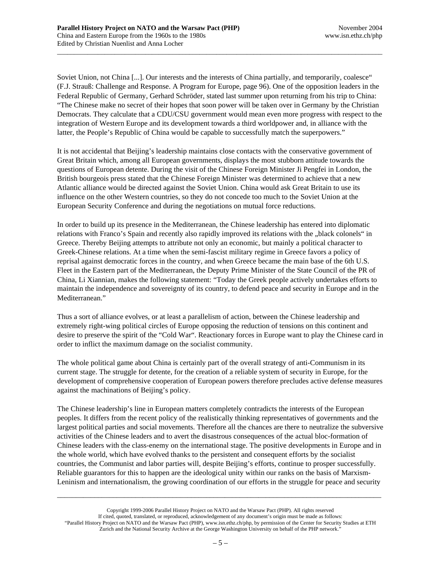Soviet Union, not China [...]. Our interests and the interests of China partially, and temporarily, coalesce" (F.J. Strauß: Challenge and Response. A Program for Europe, page 96). One of the opposition leaders in the Federal Republic of Germany, Gerhard Schröder, stated last summer upon returning from his trip to China: "The Chinese make no secret of their hopes that soon power will be taken over in Germany by the Christian Democrats. They calculate that a CDU/CSU government would mean even more progress with respect to the integration of Western Europe and its development towards a third worldpower and, in alliance with the latter, the People's Republic of China would be capable to successfully match the superpowers."

\_\_\_\_\_\_\_\_\_\_\_\_\_\_\_\_\_\_\_\_\_\_\_\_\_\_\_\_\_\_\_\_\_\_\_\_\_\_\_\_\_\_\_\_\_\_\_\_\_\_\_\_\_\_\_\_\_\_\_\_\_\_\_\_\_\_\_\_\_\_\_\_\_\_\_\_\_\_\_\_\_\_\_\_\_\_\_\_\_\_\_\_\_\_\_\_

It is not accidental that Beijing's leadership maintains close contacts with the conservative government of Great Britain which, among all European governments, displays the most stubborn attitude towards the questions of European detente. During the visit of the Chinese Foreign Minister Ji Pengfei in London, the British bourgeois press stated that the Chinese Foreign Minister was determined to achieve that a new Atlantic alliance would be directed against the Soviet Union. China would ask Great Britain to use its influence on the other Western countries, so they do not concede too much to the Soviet Union at the European Security Conference and during the negotiations on mutual force reductions.

In order to build up its presence in the Mediterranean, the Chinese leadership has entered into diplomatic relations with Franco's Spain and recently also rapidly improved its relations with the "black colonels" in Greece. Thereby Beijing attempts to attribute not only an economic, but mainly a political character to Greek-Chinese relations. At a time when the semi-fascist military regime in Greece favors a policy of reprisal against democratic forces in the country, and when Greece became the main base of the 6th U.S. Fleet in the Eastern part of the Mediterranean, the Deputy Prime Minister of the State Council of the PR of China, Li Xiannian, makes the following statement: "Today the Greek people actively undertakes efforts to maintain the independence and sovereignty of its country, to defend peace and security in Europe and in the Mediterranean."

Thus a sort of alliance evolves, or at least a parallelism of action, between the Chinese leadership and extremely right-wing political circles of Europe opposing the reduction of tensions on this continent and desire to preserve the spirit of the "Cold War". Reactionary forces in Europe want to play the Chinese card in order to inflict the maximum damage on the socialist community.

The whole political game about China is certainly part of the overall strategy of anti-Communism in its current stage. The struggle for detente, for the creation of a reliable system of security in Europe, for the development of comprehensive cooperation of European powers therefore precludes active defense measures against the machinations of Beijing's policy.

The Chinese leadership's line in European matters completely contradicts the interests of the European peoples. It differs from the recent policy of the realistically thinking representatives of governments and the largest political parties and social movements. Therefore all the chances are there to neutralize the subversive activities of the Chinese leaders and to avert the disastrous consequences of the actual bloc-formation of Chinese leaders with the class-enemy on the international stage. The positive developments in Europe and in the whole world, which have evolved thanks to the persistent and consequent efforts by the socialist countries, the Communist and labor parties will, despite Beijing's efforts, continue to prosper successfully. Reliable guarantors for this to happen are the ideological unity within our ranks on the basis of Marxism-Leninism and internationalism, the growing coordination of our efforts in the struggle for peace and security

Copyright 1999-2006 Parallel History Project on NATO and the Warsaw Pact (PHP). All rights reserved If cited, quoted, translated, or reproduced, acknowledgement of any document's origin must be made as follows: "Parallel History Project on NATO and the Warsaw Pact (PHP), www.isn.ethz.ch/php, by permission of the Center for Security Studies at ETH Zurich and the National Security Archive at the George Washington University on behalf of the PHP network."